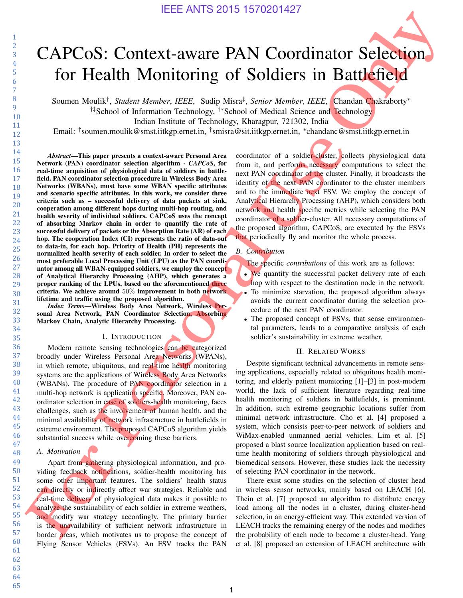# CAPCoS: Context-aware PAN Coordinator Selection for Health Monitoring of Soldiers in Battlefield

Soumen Moulik† , *Student Member*, *IEEE*, Sudip Misra‡ , *Senior Member*, *IEEE*, Chandan Chakraborty<sup>∗</sup>

†‡School of Information Technology, †∗School of Medical Science and Technology

Indian Institute of Technology, Kharagpur, 721302, India

Email: <sup>†</sup>soumen.moulik@smst.iitkgp.ernet.in, <sup>‡</sup>smisra@sit.iitkgp.ernet.in, \*chandanc@smst.iitkgp.ernet.in

*Abstract***—This paper presents a context-aware Personal Area Network (PAN) coordinator selection algorithm -** *CAPCoS***, for real-time acquisition of physiological data of soldiers in battlefield. PAN coordinator selection procedure in Wireless Body Area Networks (WBANs), must have some WBAN specific attributes and scenario specific attributes. In this work, we consider three criteria such as – successful delivery of data packets at sink, cooperation among different hops during multi-hop routing, and health severity of individual soldiers. CAPCoS uses the concept of absorbing Markov chain in order to quantify the rate of successful delivery of packets or the Absorption Rate (AR) of each hop. The cooperation Index (CI) represents the ratio of data-out to data-in, for each hop. Priority of Health (PH) represents the normalized health severity of each soldier. In order to select the most preferable Local Processing Unit (LPU) as the PAN coordinator among all WBAN-equipped soldiers, we employ the concept of Analytical Hierarchy Processing (AHP), which generates a proper ranking of the LPUs, based on the aforementioned three criteria. We achieve around** 50% **improvement in both network lifetime and traffic using the proposed algorithm.**

*Index Terms***—Wireless Body Area Network, Wireless Personal Area Network, PAN Coordinator Selection, Absorbing Markov Chain, Analytic Hierarchy Processing.**

#### I. INTRODUCTION

Modern remote sensing technologies can be categorized broadly under Wireless Personal Area Networks (WPANs), in which remote, ubiquitous, and real-time health monitoring systems are the applications of Wireless Body Area Networks (WBANs). The procedure of PAN coordinator selection in a multi-hop network is application specific. Moreover, PAN coordinator selection in case of soldiers-health monitoring, faces challenges, such as the involvement of human health, and the minimal availability of network infrastructure in battlefields in extreme environment. The proposed CAPCoS algorithm yields substantial success while overcoming these barriers.

## *A. Motivation*

Apart from gathering physiological information, and providing feedback notifications, soldier-health monitoring has some other important features. The soldiers' health status can directly or indirectly affect war strategies. Reliable and real-time delivery of physiological data makes it possible to analyze the sustainability of each soldier in extreme weathers, and modify war strategy accordingly. The primary barrier is the unavailability of sufficient network infrastructure in border areas, which motivates us to propose the concept of Flying Sensor Vehicles (FSVs). An FSV tracks the PAN

coordinator of a soldier-cluster, collects physiological data from it, and performs necessary computations to select the next PAN coordinator of the cluster. Finally, it broadcasts the identity of the next PAN coordinator to the cluster members and to the immediate next FSV. We employ the concept of Analytical Hierarchy Processing (AHP), which considers both network and health specific metrics while selecting the PAN coordinator of a soldier-cluster. All necessary computations of the proposed algorithm, CAPCoS, are executed by the FSVs that periodically fly and monitor the whole process.

## *B. Contribution*

The specific *contributions* of this work are as follows:

- We quantify the successful packet delivery rate of each hop with respect to the destination node in the network.
- To minimize starvation, the proposed algorithm always avoids the current coordinator during the selection procedure of the next PAN coordinator.
- The proposed concept of FSVs, that sense environmental parameters, leads to a comparative analysis of each soldier's sustainability in extreme weather.

#### II. RELATED WORKS

Despite significant technical advancements in remote sensing applications, especially related to ubiquitous health monitoring, and elderly patient monitoring [1]–[3] in post-modern world, the lack of sufficient literature regarding real-time health monitoring of soldiers in battlefields, is prominent. In addition, such extreme geographic locations suffer from minimal network infrastructure. Cho et al. [4] proposed a system, which consists peer-to-peer network of soldiers and WiMax-enabled unmanned aerial vehicles. Lim et al. [5] proposed a blast source localization application based on realtime health monitoring of soldiers through physiological and biomedical sensors. However, these studies lack the necessity of selecting PAN coordinator in the network.

There exist some studies on the selection of cluster head in wireless sensor networks, mainly based on LEACH [6]. Thein et al. [7] proposed an algorithm to distribute energy load among all the nodes in a cluster, during cluster-head selection, in an energy-efficient way. This extended version of LEACH tracks the remaining energy of the nodes and modifies the probability of each node to become a cluster-head. Yang et al. [8] proposed an extension of LEACH architecture with

1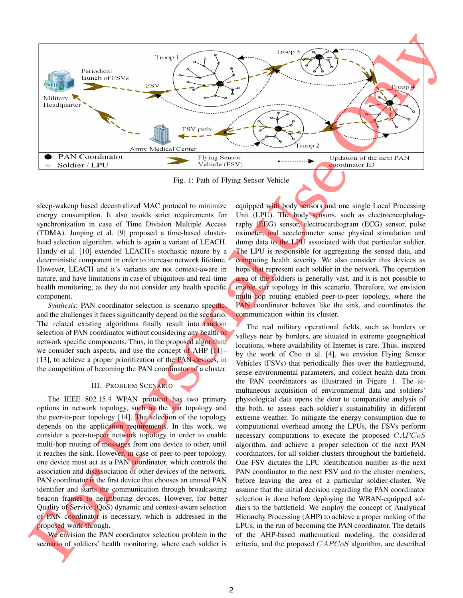

Fig. 1: Path of Flying Sensor Vehicle

sleep-wakeup based decentralized MAC protocol to minimize energy consumption. It also avoids strict requirements for synchronization in case of Time Division Multiple Access (TDMA). Junping et al. [9] proposed a time-based clusterhead selection algorithm, which is again a variant of LEACH. Handy et al. [10] extended LEACH's stochastic nature by a deterministic component in order to increase network lifetime. However, LEACH and it's variants are not context-aware in nature, and have limitations in case of ubiquitous and real-time health monitoring, as they do not consider any health specific component.

*Synthesis*: PAN coordinator selection is scenario specific, and the challenges it faces significantly depend on the scenario. The related existing algorithms finally result into random selection of PAN coordinator without considering any health or network specific components. Thus, in the proposed algorithm, we consider such aspects, and use the concept of AHP  $[11]$ – [13], to achieve a proper prioritization of the PAN-devices, in the competition of becoming the PAN coordinator of a cluster.

## III. PROBLEM SCENARIO

The IEEE 802.15.4 WPAN protocol has two primary options in network topology, such as the star topology and the peer-to-peer topology [14]. The selection of the topology depends on the application requirements. In this work, we consider a peer-to-peer network topology in order to enable multi-hop routing of messages from one device to other, until it reaches the sink. However, in case of peer-to-peer topology, one device must act as a PAN coordinator, which controls the association and disassociation of other devices of the network. PAN coordinator is the first device that chooses an unused PAN identifier and starts the communication through broadcasting beacon frames to neighboring devices. However, for better Quality of Service (QoS) dynamic and context-aware selection of PAN coordinator is necessary, which is addressed in the proposed work through.

We envision the PAN coordinator selection problem in the scenario of soldiers' health monitoring, where each soldier is equipped with body sensors and one single Local Processing Unit (LPU). The body sensors, such as electroencephalography (EEG) sensor, electrocardiogram (ECG) sensor, pulse oximeter, and accelerometer sense physical stimulation and dump data to the LPU associated with that particular soldier. The LPU is responsible for aggregating the sensed data, and computing health severity. We also consider this devices as hops that represent each soldier in the network. The operation area of the soldiers is generally vast, and it is not possible to enable star topology in this scenario. Therefore, we envision multi-hop routing enabled peer-to-peer topology, where the PAN coordinator behaves like the sink, and coordinates the communication within its cluster.

The real military operational fields, such as borders or valleys near by borders, are situated in extreme geographical locations, where availability of Internet is rare. Thus, inspired by the work of Cho et al. [4], we envision Flying Sensor Vehicles (FSVs) that periodically flies over the battleground, sense environmental parameters, and collect health data from the PAN coordinators as illustrated in Figure 1. The simultaneous acquisition of environmental data and soldiers' physiological data opens the door to comparative analysis of the both, to assess each soldier's sustainability in different extreme weather. To mitigate the energy consumption due to computational overhead among the LPUs, the FSVs perform necessary computations to execute the proposed  $CAPCoS$ algorithm, and achieve a proper selection of the next PAN coordinators, for all soldier-clusters throughout the battlefield. One FSV dictates the LPU identification number as the next PAN coordinator to the next FSV and to the cluster members, before leaving the area of a particular soldier-cluster. We assume that the initial decision regarding the PAN coordinator selection is done before deploying the WBAN-equipped soldiers to the battlefield. We employ the concept of Analytical Hierarchy Processing (AHP) to achieve a proper ranking of the LPUs, in the run of becoming the PAN coordinator. The details of the AHP-based mathematical modeling, the considered criteria, and the proposed  $CAPCoS$  algorithm, are described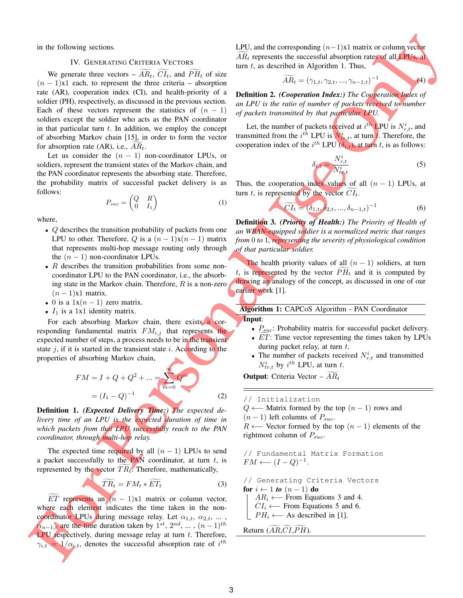in the following sections.

# IV. GENERATING CRITERIA VECTORS

We generate three vectors –  $\widetilde{AR}_t$ ,  $\widetilde{CI}_t$ , and  $\widetilde{PH}_t$  of size  $(n - 1)x1$  each, to represent the three criteria – absorption rate (AR), cooperation index (CI), and health-priority of a soldier (PH), respectively, as discussed in the previous section. Each of these vectors represent the statistics of  $(n - 1)$ soldiers except the soldier who acts as the PAN coordinator in that particular turn  $t$ . In addition, we employ the concept of absorbing Markov chain [15], in order to form the vector for absorption rate (AR), i.e.,  $AR_t$ .

Let us consider the  $(n - 1)$  non-coordinator LPUs, or soldiers, represent the transient states of the Markov chain, and the PAN coordinator represents the absorbing state. Therefore, the probability matrix of successful packet delivery is as follows:

$$
P_{suc} = \begin{pmatrix} Q & R \\ 0 & I_1 \end{pmatrix} \tag{1}
$$

where,

- Q describes the transition probability of packets from one LPU to other. Therefore, Q is a  $(n-1)x(n-1)$  matrix that represents multi-hop message routing only through the  $(n - 1)$  non-coordinator LPUs.
- $R$  describes the transition probabilities from some noncoordinator LPU to the PAN coordinator, i.e., the absorbing state in the Markov chain. Therefore,  $R$  is a non-zero  $(n-1)x1$  matrix.
- 0 is a  $1x(n-1)$  zero matrix.
- $I_1$  is a 1x1 identity matrix.

For each absorbing Markov chain, there exists a corresponding fundamental matrix  $FM_{i,j}$  that represents the expected number of steps, a process needs to be in the transient state  $j$ , if it is started in the transient state  $i$ . According to the properties of absorbing Markov chain,

$$
FM = I + Q + Q2 + ... = \sum_{m=0}^{\infty} Qm
$$
  
=  $(I_1 - Q)^{-1}$  (2)

**Definition 1.** *(Expected Delivery Time:) The expected delivery time of an LPU is the expected duration of time in which packets from that LPU successfully reach to the PAN coordinator, through multi-hop relay.*

The expected time required by all  $(n - 1)$  LPUs to send a packet successfully to the PAN coordinator, at turn  $t$ , is represented by the vector  $TR_t$ . Therefore, mathematically,

$$
\widetilde{TR}_t = FM_t * \widetilde{ET}_t \tag{3}
$$

 $\widetilde{ET}$  represents an  $(n - 1)x1$  matrix or column vector, where each element indicates the time taken in the noncoordinator LPUs during message relay. Let  $\alpha_{1,t}$ ,  $\alpha_{2,t}$ , ...,  $\alpha_{n-1,t}$  are the time duration taken by  $1^{st}$ ,  $2^{nd}$ , ...,  $(n-1)^{th}$ LPU respectively, during message relay at turn  $t$ . Therefore,  $\gamma_{i,t} = 1/\alpha_{i,t}$ , denotes the successful absorption rate of  $i^{th}$ 

LPU, and the corresponding  $(n-1)x1$  matrix or column vector  $AR_t$  represents the successful absorption rates of all LPUs, at turn  $t$ , as described in Algorithm 1. Thus,

$$
\widetilde{AR}_t = (\gamma_{1,t}, \gamma_{2,t}, \dots, \gamma_{n-1,t})^{-1}
$$
\n(4)

**Definition 2.** *(Cooperation Index:) The Cooperation Index of an LPU is the ratio of number of packets received to number of packets transmitted by that particular LPU.*

Let, the number of packets received at  $i^{th}$  LPU is  $N_{r,t}^i$ , and transmitted from the  $i^{th}$  LPU is  $N_{tr,t}^i$ , at turn t. Therefore, the cooperation index of the  $i^{th}$  LPU  $(\delta_{i,t})$ , at turn t, is as follows:

$$
\delta_{i,t} = \frac{N_{r,t}^i}{N_{tr,t}^i} \tag{5}
$$

Thus, the cooperation index values of all  $(n - 1)$  LPUs, at turn t, is represented by the vector  $CI_t$ .

$$
\widetilde{CI}_t = (\delta_{1,t}, \delta_{2,t}, ..., \delta_{n-1,t})^{-1}
$$
 (6)

**Definition 3.** *(Priority of Health:) The Priority of Health of an WBAN-equipped soldier is a normalized metric that ranges from* 0 *to* 1*, representing the severity of physiological condition of that particular soldier.*

The health priority values of all  $(n - 1)$  soldiers, at turn t, is represented by the vector  $PH_t$  and it is computed by drawing an analogy of the concept, as discussed in one of our earlier work [1].

**Algorithm 1:** CAPCoS Algorithm - PAN Coordinator **Input**:

- $P_{suc}$ : Probability matrix for successful packet delivery.
- $ET$ : Time vector representing the times taken by LPUs during packet relay, at turn  $t$ .
- The number of packets received  $N_{r,t}^i$  and transmitted  $N_{tr,t}^i$  by  $i^{th}$  LPU, at turn t.

**Output**: Criteria Vector –  $AR_t$ 

// Initialization

 $Q \leftarrow$  Matrix formed by the top  $(n-1)$  rows and  $(n-1)$  left columns of  $P_{suc}$ .

 $R \leftarrow$  Vector formed by the top  $(n - 1)$  elements of the rightmost column of  $P_{suc}$ .

// Fundamental Matrix Formation  $FM \longleftarrow (I - Q)^{-1}.$ 

// Generating Criteria Vectors **for**  $i \leftarrow 1$  **to**  $(n-1)$  **do**  $AR_i \longleftarrow$  From Equations 3 and 4.  $CI_i \longleftarrow$  From Equations 5 and 6.  $PH_i \longleftarrow$  As described in [1].

Return  $(AR,CI,PH)$ .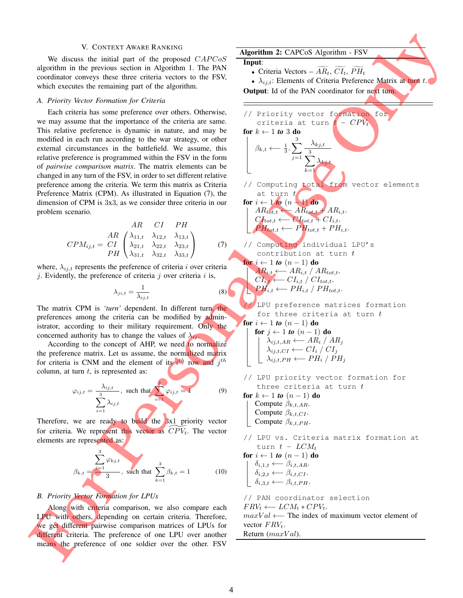#### V. CONTEXT AWARE RANKING

We discuss the initial part of the proposed  $CAPCoS$ algorithm in the previous section in Algorithm 1. The PAN coordinator conveys these three criteria vectors to the FSV, which executes the remaining part of the algorithm.

#### *A. Priority Vector Formation for Criteria*

Each criteria has some preference over others. Otherwise, we may assume that the importance of the criteria are same. This relative preference is dynamic in nature, and may be modified in each run according to the war strategy, or other external circumstances in the battlefield. We assume, this relative preference is programmed within the FSV in the form of *pairwise comparison matrix*. The matrix elements can be changed in any turn of the FSV, in order to set different relative preference among the criteria. We term this matrix as Criteria Preference Matrix (CPM). As illustrated in Equation (7), the dimension of CPM is 3x3, as we consider three criteria in our problem scenario.

$$
AR \quad CI \quad PH
$$
\n
$$
CPM_{ij,t} = \begin{array}{c c c c}\nAR & \lambda_{11,t} & \lambda_{12,t} & \lambda_{13,t} \\
CI & \lambda_{21,t} & \lambda_{22,t} & \lambda_{23,t} \\
PH & \lambda_{31,t} & \lambda_{32,t} & \lambda_{33,t}\n\end{array}
$$
\n(7)

where,  $\lambda_{ij,t}$  represents the preference of criteria *i* over criteria  $j$ . Evidently, the preference of criteria  $j$  over criteria  $i$  is,

$$
\lambda_{ji,t} = \frac{1}{\lambda_{ij,t}}
$$

 $(8)$ 

The matrix CPM is *'turn'* dependent. In different turn, the preferences among the criteria can be modified by administrator, according to their military requirement. Only the concerned authority has to change the values of  $\lambda_{ij}$ .

According to the concept of AHP, we need to normalize the preference matrix. Let us assume, the normalized matrix for criteria is CNM and the element of its  $i^{th}$  row and  $j^{th}$ column, at turn  $t$ , is represented as:

$$
\varphi_{ij,t} = \frac{\lambda_{ij,t}}{\sum_{i=1}^{3} \lambda_{ij,t}}, \text{ such that } \sum_{i=1}^{3} \varphi_{ij,t} = 1 \tag{9}
$$

Therefore, we are ready to build the 3x1 priority vector for criteria. We represent this vector as  $CPV_t$ . The vector elements are represented as:

$$
\beta_{k,t} = \frac{\sum_{j=1}^{3} \varphi_{kj,t}}{3}, \text{ such that } \sum_{k=1}^{3} \beta_{k,t} = 1 \quad (10)
$$

## *B. Priority Vector Formation for LPUs*

Along with criteria comparison, we also compare each LPU with others, depending on certain criteria. Therefore, we get different pairwise comparison matrices of LPUs for different criteria. The preference of one LPU over another means the preference of one soldier over the other. FSV

## **Algorithm 2:** CAPCoS Algorithm - FSV

**Input**:

• Criteria Vectors –  $AR_t$ ,  $CI_t$ ,  $PH_t$ 

•  $\lambda_{ij,t}$ : Elements of Criteria Preference Matrix at turn t. **Output:** Id of the PAN coordinator for next turn.

```
\nimport public\n// Priority vector\nfor k \leftarrow 1 to 3 do\n    for k \leftarrow 1 to 3 do\n    \n\n
$$
\beta_{k,t} \leftarrow \frac{1}{3} \cdot \sum_{j=1}^{3} \frac{\lambda_{kj,t}}{\sum_{k=1}^{3} \lambda_{kj,t}}
$$
\n\n// Computing total from vector elements\n    at turn t\n\nfor i \leftarrow 1 to (n - 1) do\n    \n    AR_{tot,t} \leftarrow AR_{tot,t} + AR_{it}.\n    \n    CH_{tot,t} \leftarrow CH_{tot,t} + CH_{i,t}.\n    PH_{tot,t} \leftarrow PH_{tot,t} + PH_{i,t}.\n    \n// Computing individual LPU's\n    contribution at turn t\n\nfor i \leftarrow 1 to (n - 1) do\n
```

$$
\begin{array}{r}\nAR_{i,t} \leftarrow AR_{i,t} / AR_{tot,t}, \\
CI_{i,t} \leftarrow CI_{i,t} / CI_{tot,t}, \\
PH_{i,t} \leftarrow PH_{i,t} / PH_{tot,t}.\n\end{array}
$$

LPU preference matrices formation for three criteria at turn  $t$ 

**for**  $i \leftarrow 1$  **to**  $(n-1)$  **do for**  $j \leftarrow 1$  **to**  $(n-1)$  **do** 

$$
\begin{array}{c}\n\lambda_{ij,t,AR} \leftarrow AR_i / AR_j \\
\lambda_{ij,t,CI} \leftarrow CI_i / CI_j \\
\lambda_{ij,t,PH} \leftarrow PH_i / PH_j\n\end{array}
$$

// LPU priority vector formation for three criteria at turn  $t$ 

- **for**  $k \leftarrow 1$  **to**  $(n-1)$  **do** Compute  $\beta_{k,t,AR}$ . Compute  $\beta_{k,t,CI}$ . Compute  $\beta_{k,t,PH}$ .
- // LPU vs. Criteria matrix formation at turn  $t$  -  $LCM_t$

$$
\begin{array}{c}\n\text{for } i \leftarrow 1 \text{ to } (n-1) \text{ do} \\
\delta_{i,1,t} \leftarrow \beta_{i,t,AR} \\
\delta_{i,2,t} \leftarrow \beta_{i,t,CI} \\
\delta_{i,3,t} \leftarrow \beta_{i,t,PH}.\n\end{array}
$$

// PAN coordinator selection

 $FRV_t \leftarrow LCM_t * CPV_t.$ 

 $maxVal \leftarrow$  The index of maximum vector element of vector  $FRV_t$ .

Return  $(maxVal)$ .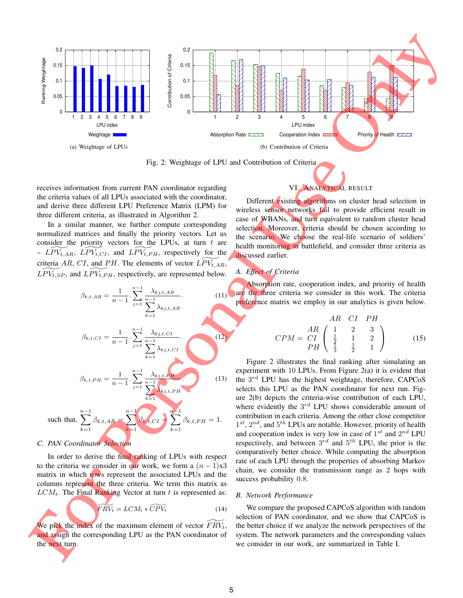

Fig. 2: Weightage of LPU and Contribution of Criteria

receives information from current PAN coordinator regarding the criteria values of all LPUs associated with the coordinator, and derive three different LPU Preference Matrix (LPM) for three different criteria, as illustrated in Algorithm 2.

In a similar manner, we further compute corresponding normalized matrices and finally the priority vectors. Let us consider the priority vectors for the LPUs, at turn  $t$  are –  $LPV_{t,AR}$ ,  $LPV_{t,CI}$ , and  $LPV_{t,PH}$ , respectively for the criteria AR, CI, and PH. The elements of vector  $LPV_{t,AR}$ ,  $LPV_{t,SP}$ , and  $\widetilde{LPV_{t,PH}}$ , respectively, are represented below.

$$
\beta_{k,t,AR} = \frac{1}{n-1} \cdot \sum_{j=1}^{n-1} \frac{\lambda_{kj,t,AR}}{\sum_{k=1}^{n-1} \lambda_{kj,t,AR}}.
$$
\n
$$
\beta_{k,t,CI} = \frac{1}{n-1} \cdot \sum_{j=1}^{n-1} \frac{\lambda_{kj,t,CI}}{\sum_{k=1}^{n-1} \lambda_{kj,t,CI}}.
$$
\n(12)

$$
\beta_{k,t,PH} = \frac{1}{n-1} \sum_{j=1}^{n-1} \frac{\lambda_{kj,t,PH}}{\sum_{k,j,t,PH} \lambda_{kj,t,PH}}
$$
(13)

 $k=1$ 

 $\lambda_{kj,t,CI}$ 

such that,  $\sum_{n=1}^{n-1}$  $k=1$  $\beta_{k,t,AR} = \sum^{n-1}$  $k=1$  $\beta_{k,t,CI}$  =  $\sum_{n=1}^{n-1}$  $k=1$  $\beta_{k,t,PH} = 1.$ 

## *C. PAN Coordinator Selection*

In order to derive the final ranking of LPUs with respect to the criteria we consider in our work, we form a  $(n-1)x3$ matrix in which rows represent the associated LPUs and the columns represent the three criteria. We term this matrix as  $LCM_t$ . The Final Ranking Vector at turn t is represented as:

$$
\widetilde{FRV_t} = LCM_t * \widetilde{CPU_t}
$$
\n(14)

We pick the index of the maximum element of vector  $FRV_t$ , and assign the corresponding LPU as the PAN coordinator of the next turn.

Different existing algorithms on cluster head selection in wireless sensor networks fail to provide efficient result in case of WBANs, and turn equivalent to random cluster head selection. Moreover, criteria should be chosen according to the scenario. We choose the real-life scenario of soldiers' health monitoring in battlefield, and consider three criteria as discussed earlier.

VI. ANALYTICAL RESULT

## *A. Effect of Criteria*

Absorption rate, cooperation index, and priority of health are the three criteria we consider in this work. The criteria preference matrix we employ in our analytics is given below.

$$
AR \quad CI \quad PH
$$
\n
$$
CPM = \begin{array}{c|cc}\nAR & 1 & 2 & 3 \\
CI & \frac{1}{2} & 1 & 2 \\
PH & \frac{1}{3} & \frac{1}{2} & 1\n\end{array}
$$
\n(15)

Figure 2 illustrates the final ranking after simulating an experiment with 10 LPUs. From Figure 2(a) it is evident that the  $3^{rd}$  LPU has the highest weightage, therefore, CAPCoS selects this LPU as the PAN coordinator for next run. Figure 2(b) depicts the criteria-wise contribution of each LPU, where evidently the  $3^{rd}$  LPU shows considerable amount of contribution in each criteria. Among the other close competitor  $1^{st}$ ,  $2^{nd}$ , and  $5^{th}$  LPUs are notable. However, priority of health and cooperation index is very low in case of  $1^{st}$  and  $2^{nd}$  LPU respectively, and between  $3^{rd}$  and  $5^{th}$  LPU, the prior is the comparatively better choice. While computing the absorption rate of each LPU through the properties of absorbing Markov chain, we consider the transmission range as 2 hops with success probability 0.8.

#### *B. Network Performance*

We compare the proposed CAPCoS algorithm with random selection of PAN coordinator, and we show that CAPCoS is the better choice if we analyze the network perspectives of the system. The network parameters and the corresponding values we consider in our work, are summarized in Table I.